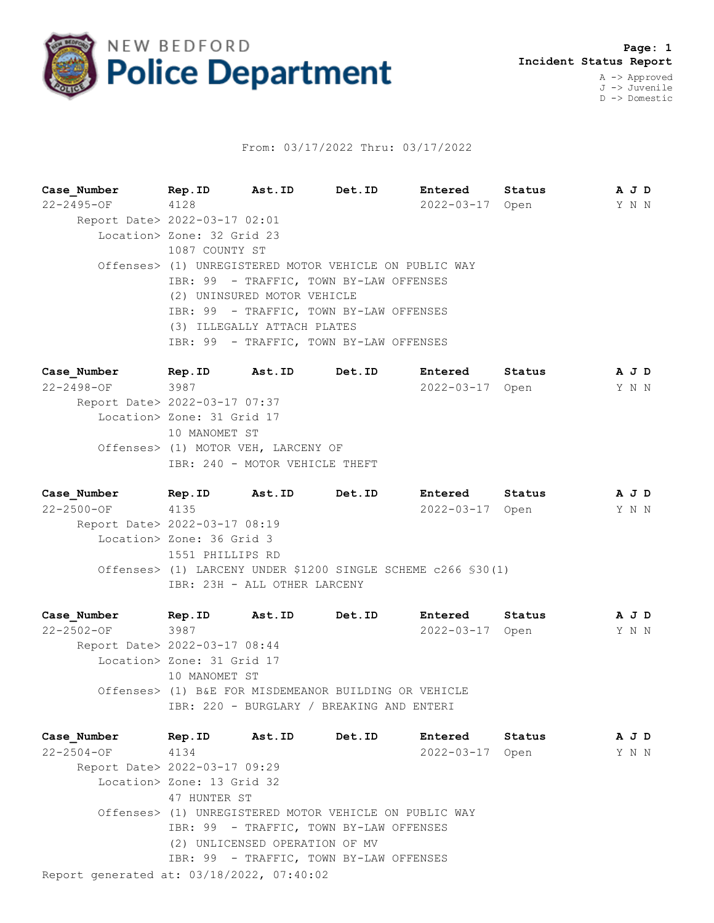

## From: 03/17/2022 Thru: 03/17/2022

**Case\_Number Rep.ID Ast.ID Det.ID Entered Status A J D** 22-2495-OF 4128 2022-03-17 Open Y N N Report Date> 2022-03-17 02:01 Location> Zone: 32 Grid 23 1087 COUNTY ST Offenses> (1) UNREGISTERED MOTOR VEHICLE ON PUBLIC WAY IBR: 99 - TRAFFIC, TOWN BY-LAW OFFENSES (2) UNINSURED MOTOR VEHICLE IBR: 99 - TRAFFIC, TOWN BY-LAW OFFENSES (3) ILLEGALLY ATTACH PLATES IBR: 99 - TRAFFIC, TOWN BY-LAW OFFENSES

**Case\_Number Rep.ID Ast.ID Det.ID Entered Status A J D** 22-2498-OF 3987 2022-03-17 Open Y N N Report Date> 2022-03-17 07:37 Location> Zone: 31 Grid 17 10 MANOMET ST Offenses> (1) MOTOR VEH, LARCENY OF IBR: 240 - MOTOR VEHICLE THEFT

**Case\_Number Rep.ID Ast.ID Det.ID Entered Status A J D** 22-2500-OF 4135 2022-03-17 Open Y N N Report Date> 2022-03-17 08:19 Location> Zone: 36 Grid 3 1551 PHILLIPS RD Offenses> (1) LARCENY UNDER \$1200 SINGLE SCHEME c266 §30(1) IBR: 23H - ALL OTHER LARCENY

**Case\_Number Rep.ID Ast.ID Det.ID Entered Status A J D** 22-2502-OF 3987 2022-03-17 Open Y N N Report Date> 2022-03-17 08:44 Location> Zone: 31 Grid 17 10 MANOMET ST Offenses> (1) B&E FOR MISDEMEANOR BUILDING OR VEHICLE IBR: 220 - BURGLARY / BREAKING AND ENTERI

Report generated at: 03/18/2022, 07:40:02 **Case\_Number Rep.ID Ast.ID Det.ID Entered Status A J D** 22-2504-OF 4134 2022-03-17 Open Y N N Report Date> 2022-03-17 09:29 Location> Zone: 13 Grid 32 47 HUNTER ST Offenses> (1) UNREGISTERED MOTOR VEHICLE ON PUBLIC WAY IBR: 99 - TRAFFIC, TOWN BY-LAW OFFENSES (2) UNLICENSED OPERATION OF MV IBR: 99 - TRAFFIC, TOWN BY-LAW OFFENSES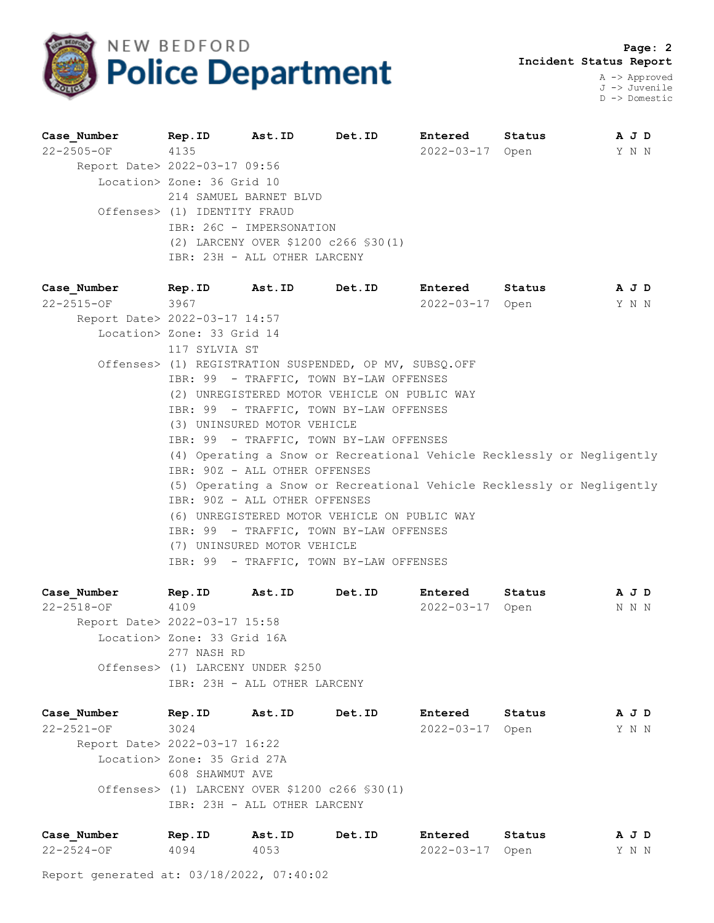

J -> Juvenile D -> Domestic

| Case Number Rep. ID Ast. ID Det. ID                      |                                                        |                              |                                                                        | Entered Status  |  | A J D                 |  |  |  |  |  |
|----------------------------------------------------------|--------------------------------------------------------|------------------------------|------------------------------------------------------------------------|-----------------|--|-----------------------|--|--|--|--|--|
| 22-2505-OF 4135                                          |                                                        |                              |                                                                        |                 |  | 2022-03-17 Open Y N N |  |  |  |  |  |
| Report Date> 2022-03-17 09:56                            |                                                        |                              |                                                                        |                 |  |                       |  |  |  |  |  |
|                                                          | Location> Zone: 36 Grid 10                             |                              |                                                                        |                 |  |                       |  |  |  |  |  |
|                                                          |                                                        | 214 SAMUEL BARNET BLVD       |                                                                        |                 |  |                       |  |  |  |  |  |
|                                                          | Offenses> (1) IDENTITY FRAUD                           |                              |                                                                        |                 |  |                       |  |  |  |  |  |
|                                                          | IBR: 26C - IMPERSONATION                               |                              |                                                                        |                 |  |                       |  |  |  |  |  |
|                                                          | (2) LARCENY OVER \$1200 c266 \$30(1)                   |                              |                                                                        |                 |  |                       |  |  |  |  |  |
|                                                          |                                                        | IBR: 23H - ALL OTHER LARCENY |                                                                        |                 |  |                       |  |  |  |  |  |
| Case Number 1 Rep. ID Ast. ID Det. ID Entered Status AJD |                                                        |                              |                                                                        |                 |  |                       |  |  |  |  |  |
| 22-2515-OF 3967                                          |                                                        |                              |                                                                        | 2022-03-17 Open |  | Y N N                 |  |  |  |  |  |
| Report Date> 2022-03-17 14:57                            |                                                        |                              |                                                                        |                 |  |                       |  |  |  |  |  |
|                                                          | Location> Zone: 33 Grid 14                             |                              |                                                                        |                 |  |                       |  |  |  |  |  |
|                                                          | 117 SYLVIA ST                                          |                              |                                                                        |                 |  |                       |  |  |  |  |  |
|                                                          | Offenses> (1) REGISTRATION SUSPENDED, OP MV, SUBSQ.OFF |                              |                                                                        |                 |  |                       |  |  |  |  |  |
|                                                          | IBR: 99 - TRAFFIC, TOWN BY-LAW OFFENSES                |                              |                                                                        |                 |  |                       |  |  |  |  |  |
|                                                          | (2) UNREGISTERED MOTOR VEHICLE ON PUBLIC WAY           |                              |                                                                        |                 |  |                       |  |  |  |  |  |
|                                                          | IBR: 99 - TRAFFIC, TOWN BY-LAW OFFENSES                |                              |                                                                        |                 |  |                       |  |  |  |  |  |
|                                                          | (3) UNINSURED MOTOR VEHICLE                            |                              |                                                                        |                 |  |                       |  |  |  |  |  |
|                                                          |                                                        |                              | IBR: 99 - TRAFFIC, TOWN BY-LAW OFFENSES                                |                 |  |                       |  |  |  |  |  |
|                                                          |                                                        |                              | (4) Operating a Snow or Recreational Vehicle Recklessly or Negligently |                 |  |                       |  |  |  |  |  |
|                                                          | IBR: 90Z - ALL OTHER OFFENSES                          |                              |                                                                        |                 |  |                       |  |  |  |  |  |
|                                                          |                                                        |                              | (5) Operating a Snow or Recreational Vehicle Recklessly or Negligently |                 |  |                       |  |  |  |  |  |
|                                                          | IBR: 90Z - ALL OTHER OFFENSES                          |                              |                                                                        |                 |  |                       |  |  |  |  |  |
|                                                          | (6) UNREGISTERED MOTOR VEHICLE ON PUBLIC WAY           |                              |                                                                        |                 |  |                       |  |  |  |  |  |
|                                                          |                                                        |                              | IBR: 99 - TRAFFIC, TOWN BY-LAW OFFENSES                                |                 |  |                       |  |  |  |  |  |

(7) UNINSURED MOTOR VEHICLE

IBR: 99 - TRAFFIC, TOWN BY-LAW OFFENSES

**Case\_Number Rep.ID Ast.ID Det.ID Entered Status A J D** 22-2518-OF 4109 2022-03-17 Open N N N Report Date> 2022-03-17 15:58 Location> Zone: 33 Grid 16A 277 NASH RD Offenses> (1) LARCENY UNDER \$250 IBR: 23H - ALL OTHER LARCENY

**Case\_Number Rep.ID Ast.ID Det.ID Entered Status A J D** 22-2521-OF 3024 2022-03-17 Open Y N N Report Date> 2022-03-17 16:22 Location> Zone: 35 Grid 27A 608 SHAWMUT AVE Offenses> (1) LARCENY OVER \$1200 c266 §30(1) IBR: 23H - ALL OTHER LARCENY

| Case Number      | Rep.ID | Ast.ID | Det.ID | Entered         | Status | AJD   |  |  |
|------------------|--------|--------|--------|-----------------|--------|-------|--|--|
| $22 - 2524 - OF$ | 4094   | 4053   |        | 2022-03-17 Open |        | Y N N |  |  |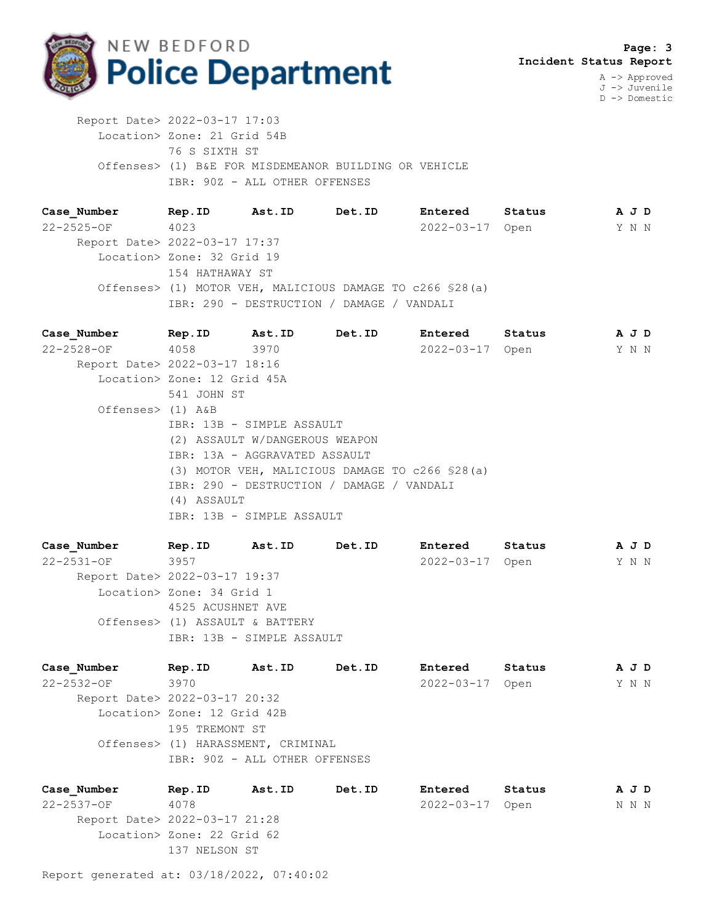

D -> Domestic

 Report Date> 2022-03-17 17:03 Location> Zone: 21 Grid 54B 76 S SIXTH ST Offenses> (1) B&E FOR MISDEMEANOR BUILDING OR VEHICLE IBR: 90Z - ALL OTHER OFFENSES

**Case\_Number Rep.ID Ast.ID Det.ID Entered Status A J D** 22-2525-OF 4023 2022-03-17 Open Y N N Report Date> 2022-03-17 17:37 Location> Zone: 32 Grid 19 154 HATHAWAY ST Offenses> (1) MOTOR VEH, MALICIOUS DAMAGE TO c266 §28(a) IBR: 290 - DESTRUCTION / DAMAGE / VANDALI

**Case\_Number Rep.ID Ast.ID Det.ID Entered Status A J D** 22-2528-OF 4058 3970 2022-03-17 Open Y N N Report Date> 2022-03-17 18:16 Location> Zone: 12 Grid 45A 541 JOHN ST Offenses> (1) A&B IBR: 13B - SIMPLE ASSAULT (2) ASSAULT W/DANGEROUS WEAPON IBR: 13A - AGGRAVATED ASSAULT (3) MOTOR VEH, MALICIOUS DAMAGE TO c266 §28(a) IBR: 290 - DESTRUCTION / DAMAGE / VANDALI (4) ASSAULT IBR: 13B - SIMPLE ASSAULT

**Case\_Number Rep.ID Ast.ID Det.ID Entered Status A J D** 22-2531-OF 3957 2022-03-17 Open Y N N Report Date> 2022-03-17 19:37 Location> Zone: 34 Grid 1 4525 ACUSHNET AVE Offenses> (1) ASSAULT & BATTERY IBR: 13B - SIMPLE ASSAULT

**Case\_Number Rep.ID Ast.ID Det.ID Entered Status A J D** 22-2532-OF 3970 2022-03-17 Open Y N N Report Date> 2022-03-17 20:32 Location> Zone: 12 Grid 42B 195 TREMONT ST Offenses> (1) HARASSMENT, CRIMINAL IBR: 90Z - ALL OTHER OFFENSES

**Case\_Number Rep.ID Ast.ID Det.ID Entered Status A J D** 22-2537-OF 4078 2022-03-17 Open N N N Report Date> 2022-03-17 21:28 Location> Zone: 22 Grid 62 137 NELSON ST

Report generated at: 03/18/2022, 07:40:02